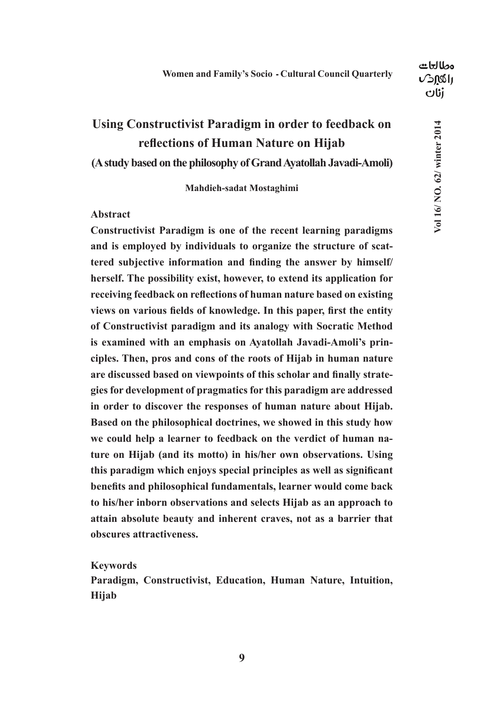## مطالعات **USASH** dti

# **Using Constructivist Paradigm in order to feedback on reflections of Human Nature on Hijab**

## **(A study based on the philosophy of Grand Ayatollah Javadi-Amoli)**

## **Mahdieh-sadat Mostaghimi**

## **Abstract**

**Constructivist Paradigm is one of the recent learning paradigms and is employed by individuals to organize the structure of scattered subjective information and finding the answer by himself/ herself. The possibility exist, however, to extend its application for receiving feedback on reflections of human nature based on existing views on various fields of knowledge. In this paper, first the entity of Constructivist paradigm and its analogy with Socratic Method is examined with an emphasis on Ayatollah Javadi-Amoli's principles. Then, pros and cons of the roots of Hijab in human nature are discussed based on viewpoints of this scholar and finally strategies for development of pragmatics for this paradigm are addressed in order to discover the responses of human nature about Hijab. Based on the philosophical doctrines, we showed in this study how we could help a learner to feedback on the verdict of human nature on Hijab (and its motto) in his/her own observations. Using this paradigm which enjoys special principles as well as significant benefits and philosophical fundamentals, learner would come back to his/her inborn observations and selects Hijab as an approach to attain absolute beauty and inherent craves, not as a barrier that obscures attractiveness.**

## **Keywords**

**Paradigm, Constructivist, Education, Human Nature, Intuition, Hijab**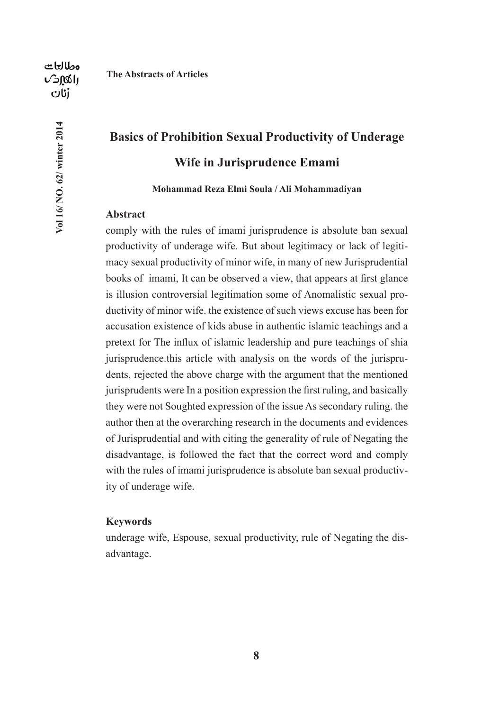**Vol 16/ NO. 62/ winter 2014**

Vol 16/ NO. 62/ winter 2014

### **The Abstracts of Articles**

# **Basics of Prohibition Sexual Productivity of Underage Wife in Jurisprudence Emami**

**Mohammad Reza Elmi Soula / Ali Mohammadiyan**

## **Abstract**

comply with the rules of imami jurisprudence is absolute ban sexual productivity of underage wife. But about legitimacy or lack of legitimacy sexual productivity of minor wife, in many of new Jurisprudential books of imami, It can be observed a view, that appears at first glance is illusion controversial legitimation some of Anomalistic sexual productivity of minor wife. the existence of such views excuse has been for accusation existence of kids abuse in authentic islamic teachings and a pretext for The influx of islamic leadership and pure teachings of shia jurisprudence.this article with analysis on the words of the jurisprudents, rejected the above charge with the argument that the mentioned jurisprudents were In a position expression the first ruling, and basically they were not Soughted expression of the issue As secondary ruling. the author then at the overarching research in the documents and evidences of Jurisprudential and with citing the generality of rule of Negating the disadvantage, is followed the fact that the correct word and comply with the rules of imami jurisprudence is absolute ban sexual productivity of underage wife.

## **Keywords**

underage wife, Espouse, sexual productivity, rule of Negating the disadvantage.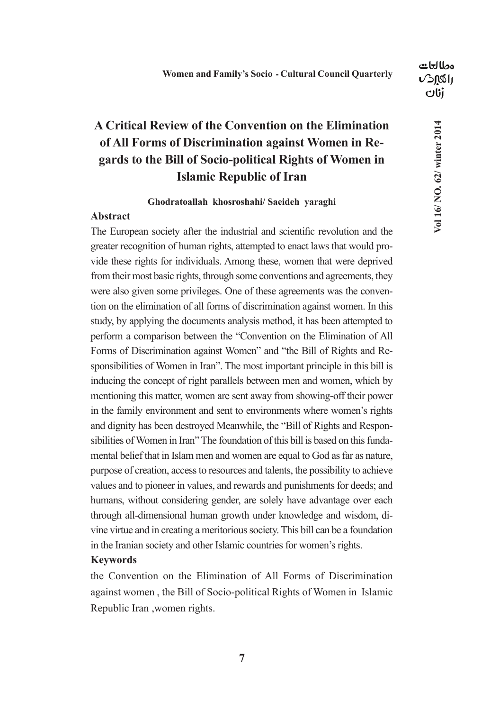## **A Critical Review of the Convention on the Elimination of All Forms of Discrimination against Women in Regards to the Bill of Socio-political Rights of Women in**

## **Islamic Republic of Iran**

## **Ghodratoallah khosroshahi/ Saeideh yaraghi**

## **Abstract**

The European society after the industrial and scientific revolution and the greater recognition of human rights, attempted to enact laws that would provide these rights for individuals. Among these, women that were deprived from their most basic rights, through some conventions and agreements, they were also given some privileges. One of these agreements was the convention on the elimination of all forms of discrimination against women. In this study, by applying the documents analysis method, it has been attempted to perform a comparison between the "Convention on the Elimination of All Forms of Discrimination against Women" and "the Bill of Rights and Responsibilities of Women in Iran". The most important principle in this bill is inducing the concept of right parallels between men and women, which by mentioning this matter, women are sent away from showing-off their power in the family environment and sent to environments where women's rights and dignity has been destroyed Meanwhile, the "Bill of Rights and Responsibilities of Women in Iran" The foundation of this bill is based on this fundamental belief that in Islam men and women are equal to God as far as nature, purpose of creation, access to resources and talents, the possibility to achieve values and to pioneer in values, and rewards and punishments for deeds; and humans, without considering gender, are solely have advantage over each through all-dimensional human growth under knowledge and wisdom, divine virtue and in creating a meritorious society. This bill can be a foundation in the Iranian society and other Islamic countries for women's rights.

## **Keywords**

the Convention on the Elimination of All Forms of Discrimination against women , the Bill of Socio-political Rights of Women in Islamic Republic Iran ,women rights.

مطالعات **USASH**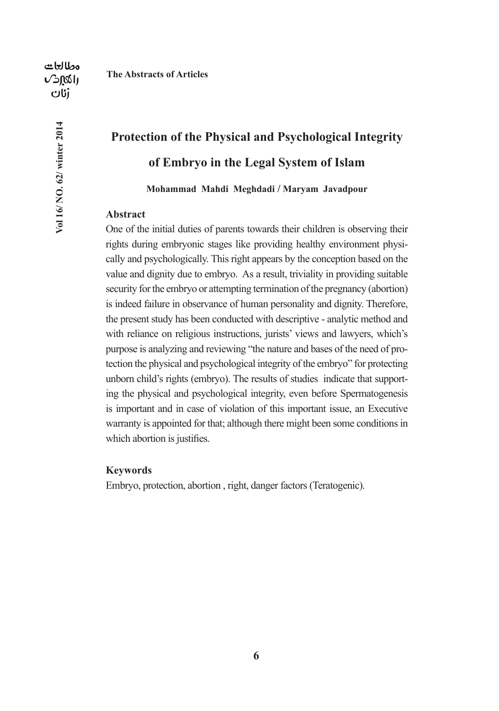**Vol 16/ NO. 62/ winter 2014**

Vol 16/ NO. 62/ winter 2014

# **Protection of the Physical and Psychological Integrity of Embryo in the Legal System of Islam**

**Mohammad Mahdi Meghdadi / Maryam Javadpour** 

## **Abstract**

One of the initial duties of parents towards their children is observing their rights during embryonic stages like providing healthy environment physically and psychologically. This right appears by the conception based on the value and dignity due to embryo. As a result, triviality in providing suitable security for the embryo or attempting termination of the pregnancy (abortion) is indeed failure in observance of human personality and dignity. Therefore, the present study has been conducted with descriptive - analytic method and with reliance on religious instructions, jurists' views and lawyers, which's purpose is analyzing and reviewing "the nature and bases of the need of protection the physical and psychological integrity of the embryo" for protecting unborn child's rights (embryo). The results of studies indicate that supporting the physical and psychological integrity, even before Spermatogenesis is important and in case of violation of this important issue, an Executive warranty is appointed for that; although there might been some conditions in which abortion is justifies.

## **Keywords**

Embryo, protection, abortion , right, danger factors (Teratogenic).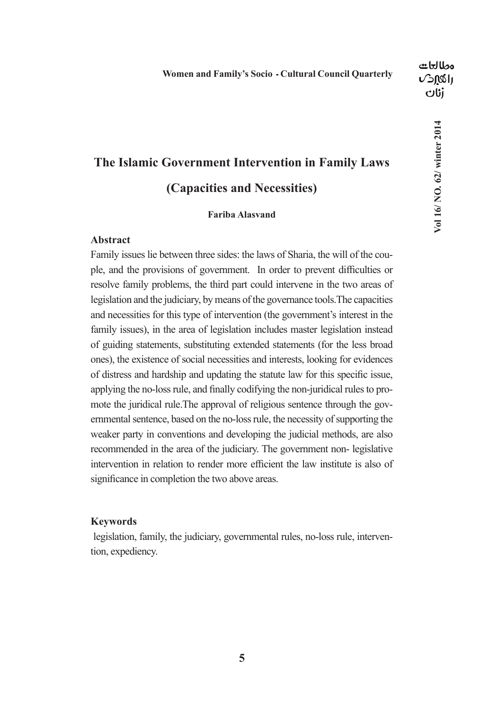# Vol 16/ NO. 62/ winter 2014 **Vol 16/ NO. 62/ winter 2014**

# **The Islamic Government Intervention in Family Laws (Capacities and Necessities)**

## **Fariba Alasvand**

## **Abstract**

Family issues lie between three sides: the laws of Sharia, the will of the couple, and the provisions of government. In order to prevent difficulties or resolve family problems, the third part could intervene in the two areas of legislation and the judiciary, by means of the governance tools.The capacities and necessities for this type of intervention (the government's interest in the family issues), in the area of legislation includes master legislation instead of guiding statements, substituting extended statements (for the less broad ones), the existence of social necessities and interests, looking for evidences of distress and hardship and updating the statute law for this specific issue, applying the no-loss rule, and finally codifying the non-juridical rules to promote the juridical rule.The approval of religious sentence through the governmental sentence, based on the no-loss rule, the necessity of supporting the weaker party in conventions and developing the judicial methods, are also recommended in the area of the judiciary. The government non- legislative intervention in relation to render more efficient the law institute is also of significance in completion the two above areas.

### **Keywords**

 legislation, family, the judiciary, governmental rules, no-loss rule, intervention, expediency.